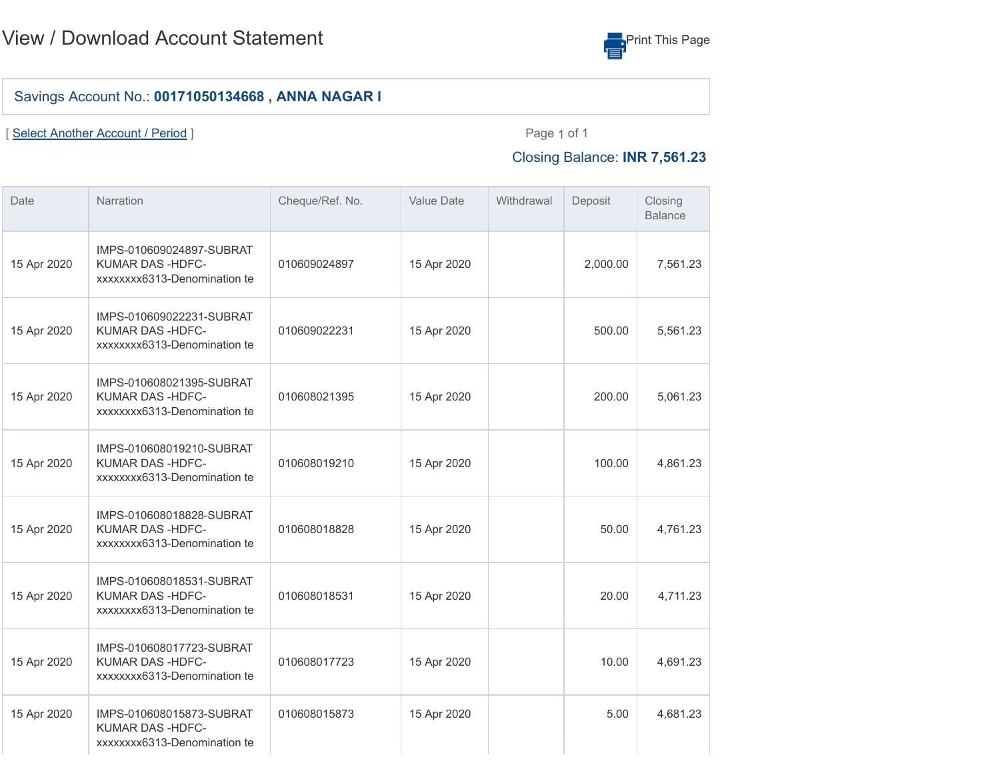

## Savings Account No.: **00171050134668 , ANNA NAGAR I**

[ [Select Another Account / Period](javascript:void(0)) ] example 2 and 2 and 2 and 2 and 2 and 2 and 2 and 2 and 2 and 2 and 2 and 2 and 2 and 2 and 2 and 2 and 2 and 2 and 2 and 2 and 2 and 2 and 2 and 2 and 2 and 2 and 2 and 2 and 2 and 2 an

## Closing Balance: **INR 7,561.23**

| Date        | Narration                                                                  | Cheque/Ref. No. | <b>Value Date</b> | Withdrawal | Deposit  | Closing<br><b>Balance</b> |
|-------------|----------------------------------------------------------------------------|-----------------|-------------------|------------|----------|---------------------------|
| 15 Apr 2020 | IMPS-010609024897-SUBRAT<br>KUMAR DAS-HDFC-<br>xxxxxxx6313-Denomination te | 010609024897    | 15 Apr 2020       |            | 2,000.00 | 7,561.23                  |
| 15 Apr 2020 | IMPS-010609022231-SUBRAT<br>KUMAR DAS-HDFC-<br>xxxxxxx6313-Denomination te | 010609022231    | 15 Apr 2020       |            | 500.00   | 5,561.23                  |
| 15 Apr 2020 | IMPS-010608021395-SUBRAT<br>KUMAR DAS-HDFC-<br>xxxxxxx6313-Denomination te | 010608021395    | 15 Apr 2020       |            | 200.00   | 5,061.23                  |
| 15 Apr 2020 | IMPS-010608019210-SUBRAT<br>KUMAR DAS-HDFC-<br>xxxxxxx6313-Denomination te | 010608019210    | 15 Apr 2020       |            | 100.00   | 4,861.23                  |
| 15 Apr 2020 | IMPS-010608018828-SUBRAT<br>KUMAR DAS-HDFC-<br>xxxxxxx6313-Denomination te | 010608018828    | 15 Apr 2020       |            | 50.00    | 4,761.23                  |
| 15 Apr 2020 | IMPS-010608018531-SUBRAT<br>KUMAR DAS-HDFC-<br>xxxxxxx6313-Denomination te | 010608018531    | 15 Apr 2020       |            | 20.00    | 4,711.23                  |
| 15 Apr 2020 | IMPS-010608017723-SUBRAT<br>KUMAR DAS-HDFC-<br>xxxxxxx6313-Denomination te | 010608017723    | 15 Apr 2020       |            | 10.00    | 4,691.23                  |
| 15 Apr 2020 | IMPS-010608015873-SUBRAT<br>KUMAR DAS-HDFC-<br>xxxxxxx6313-Denomination te | 010608015873    | 15 Apr 2020       |            | 5.00     | 4,681.23                  |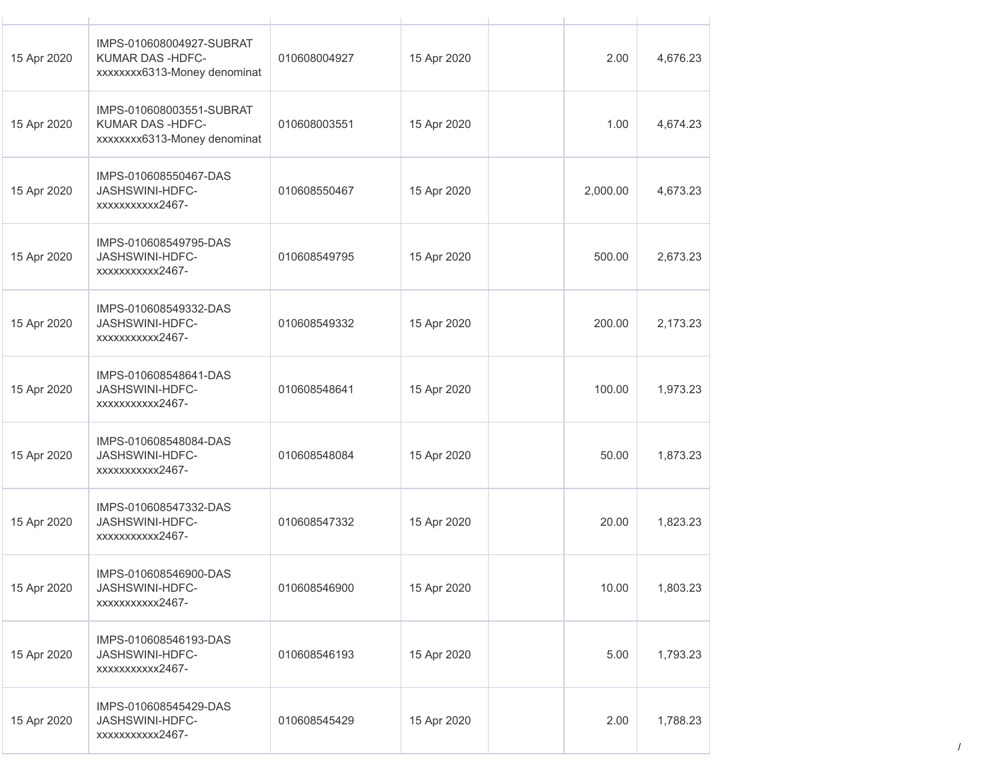| 15 Apr 2020 | IMPS-010608004927-SUBRAT<br>KUMAR DAS-HDFC-<br>xxxxxxx6313-Money denominat | 010608004927 | 15 Apr 2020 | 2.00     | 4,676.23 |
|-------------|----------------------------------------------------------------------------|--------------|-------------|----------|----------|
| 15 Apr 2020 | IMPS-010608003551-SUBRAT<br>KUMAR DAS-HDFC-<br>xxxxxxx6313-Money denominat | 010608003551 | 15 Apr 2020 | 1.00     | 4,674.23 |
| 15 Apr 2020 | IMPS-010608550467-DAS<br>JASHSWINI-HDFC-<br>xxxxxxxxxx2467-                | 010608550467 | 15 Apr 2020 | 2,000.00 | 4,673.23 |
| 15 Apr 2020 | IMPS-010608549795-DAS<br>JASHSWINI-HDFC-<br>xxxxxxxxxx2467-                | 010608549795 | 15 Apr 2020 | 500.00   | 2,673.23 |
| 15 Apr 2020 | IMPS-010608549332-DAS<br>JASHSWINI-HDFC-<br>xxxxxxxxxx2467-                | 010608549332 | 15 Apr 2020 | 200.00   | 2,173.23 |
| 15 Apr 2020 | IMPS-010608548641-DAS<br>JASHSWINI-HDFC-<br>xxxxxxxxxx2467-                | 010608548641 | 15 Apr 2020 | 100.00   | 1,973.23 |
| 15 Apr 2020 | IMPS-010608548084-DAS<br>JASHSWINI-HDFC-<br>xxxxxxxxxx2467-                | 010608548084 | 15 Apr 2020 | 50.00    | 1,873.23 |
| 15 Apr 2020 | IMPS-010608547332-DAS<br>JASHSWINI-HDFC-<br>xxxxxxxxxx2467-                | 010608547332 | 15 Apr 2020 | 20.00    | 1,823.23 |
| 15 Apr 2020 | IMPS-010608546900-DAS<br>JASHSWINI-HDFC-<br>xxxxxxxxxx2467-                | 010608546900 | 15 Apr 2020 | 10.00    | 1,803.23 |
| 15 Apr 2020 | IMPS-010608546193-DAS<br>JASHSWINI-HDFC-<br>xxxxxxxxxx2467-                | 010608546193 | 15 Apr 2020 | 5.00     | 1,793.23 |
| 15 Apr 2020 | IMPS-010608545429-DAS<br>JASHSWINI-HDFC-<br>xxxxxxxxxx2467-                | 010608545429 | 15 Apr 2020 | 2.00     | 1,788.23 |